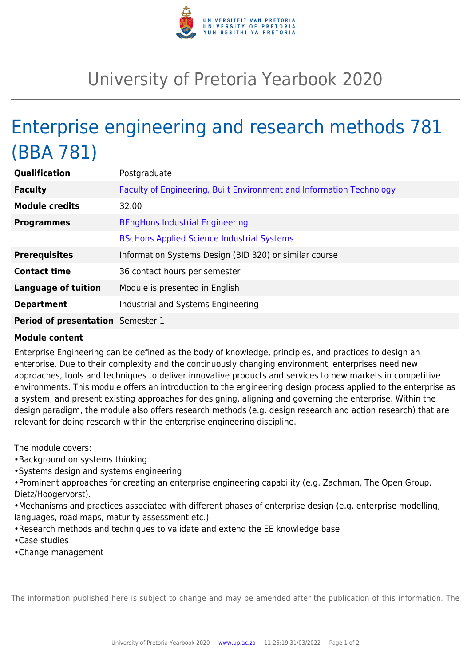

## University of Pretoria Yearbook 2020

## Enterprise engineering and research methods 781 (BBA 781)

| <b>Qualification</b>              | Postgraduate                                                         |
|-----------------------------------|----------------------------------------------------------------------|
| <b>Faculty</b>                    | Faculty of Engineering, Built Environment and Information Technology |
| <b>Module credits</b>             | 32.00                                                                |
| <b>Programmes</b>                 | <b>BEngHons Industrial Engineering</b>                               |
|                                   | <b>BScHons Applied Science Industrial Systems</b>                    |
| <b>Prerequisites</b>              | Information Systems Design (BID 320) or similar course               |
| <b>Contact time</b>               | 36 contact hours per semester                                        |
| <b>Language of tuition</b>        | Module is presented in English                                       |
| <b>Department</b>                 | Industrial and Systems Engineering                                   |
| Period of presentation Semester 1 |                                                                      |

## **Module content**

Enterprise Engineering can be defined as the body of knowledge, principles, and practices to design an enterprise. Due to their complexity and the continuously changing environment, enterprises need new approaches, tools and techniques to deliver innovative products and services to new markets in competitive environments. This module offers an introduction to the engineering design process applied to the enterprise as a system, and present existing approaches for designing, aligning and governing the enterprise. Within the design paradigm, the module also offers research methods (e.g. design research and action research) that are relevant for doing research within the enterprise engineering discipline.

The module covers:

- •Background on systems thinking
- •Systems design and systems engineering

•Prominent approaches for creating an enterprise engineering capability (e.g. Zachman, The Open Group, Dietz/Hoogervorst).

•Mechanisms and practices associated with different phases of enterprise design (e.g. enterprise modelling, languages, road maps, maturity assessment etc.)

- •Research methods and techniques to validate and extend the EE knowledge base
- •Case studies
- •Change management

The information published here is subject to change and may be amended after the publication of this information. The